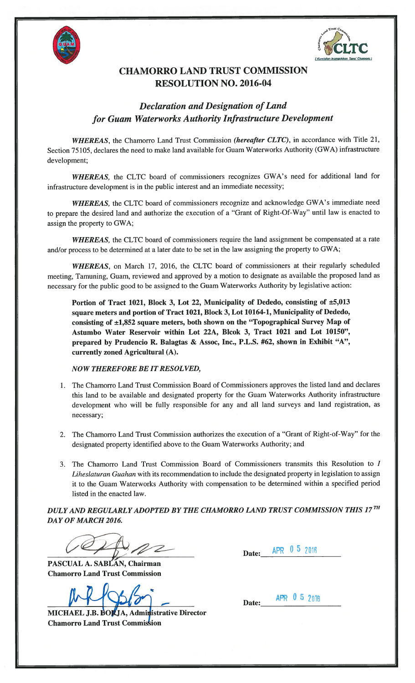



## CHAMORRO LAND TRUST COMMISSION RESOLUTION NO. 2016-04

## Declaration and Designation of Land for Guam Waterworks Authority Infrastructure Development

WHEREAS, the Chamorro Land Trust Commission (hereafter CLTC), in accordance with Title 21, Section 75105, declares the need to make land available for Guam Waterworks Authority (GWA) infrastructure development;

WHEREAS, the CLTC board of commissioners recognizes GWA's need for additional land for infrastructure development is in the public interest and an immediate necessity;

WHEREAS, the CLTC board of commissioners recognize and acknowledge GWA's immediate need to prepare the desired land and authorize the execution of a "Grant of Right-Of-Way" until law is enacted to assign the property to GWA;

WHEREAS, the CLTC board of commissioners require the land assignment be compensated at a rate and/or process to be determined at a later date to be set in the law assigning the property to GWA;

WHEREAS, on March 17, 2016, the CLTC board of commissioners at their regularly scheduled meeting, Tamuning, Guam, reviewed and approved by a motion to designate as available the proposed land as necessary for the public good to be assigned to the Guam Waterworks Authority by legislative action:

Portion of Tract 1021, Block 3, Lot 22, Municipality of Dededo, consisting of ±5,013 square meters and portion of Tract 1021, Block 3, Lot 10164-1, Municipality of Dededo, consisting of ±1,852 square meters, both shown on the "Topographical Survey Map of Astumbo Water Reservoir within Lot 22A, Blcok 3, Tract 1021 and Lot 10150", prepared by Prudencio R. Balagtas & Assoc, Inc., P.L.S. #62, shown in Exhibit "A", currently zoned Agricultural (A).

NOW THEREFORE BE IT RESOLVED,

- 1. The Chamorro Land Trust Commission Board of Commissioners approves the listed land and declares this land to be available and designated property for the Guam Waterworks Authority infrastructure development who will be fully responsible for any and all land surveys and land registration, as necessary;
- 2. The Chamorro Land Trust Commission authorizes the execution of a "Grant of Right-of-Way" for the designated property identified above to the Guam Waterworks Authority; and
- 3. The Chamorro Land Trust Commission Board of Commissioners transmits this Resolution to I Liheslaturan Guahan with its recommendation to include the designated property in legislation to assign it to the Guam Waterworks Authority with compensation to be determined within a specified period listed in the enacted law.

DULY AND REGULARLY ADOPTED BY THE CHAMORRO LAND TRUST COMMISSION THIS 17TH DAY OF MARCH 2016.

 $\mathcal{Z}$ 

PASCUAL A. SABLAN, Chairman Chamorro Land Trust Commission

 $MR/95/57 - Date:$  APR 05 2018

MICHAEL J.B. BOKJA, Administrative Director Chamorro Land Trust Commision

Date: APR 0 5 2016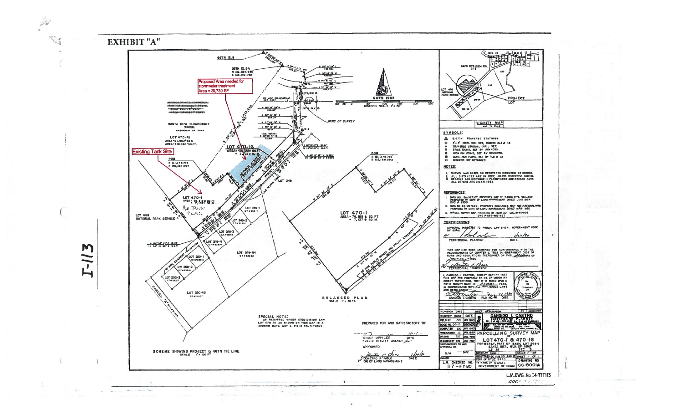EXHIBIT "A"



 $-$ 

**Committee** 

M

 $\sum$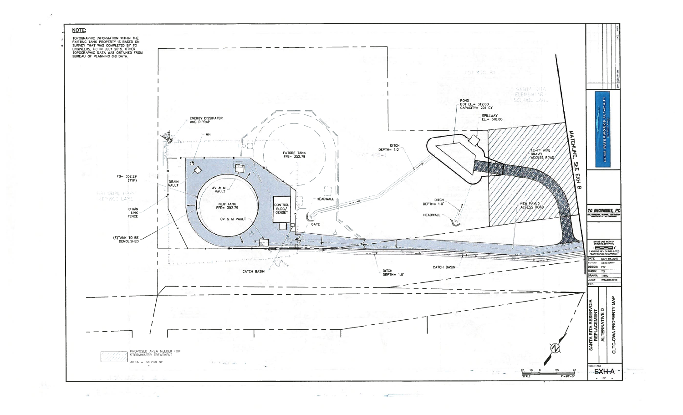